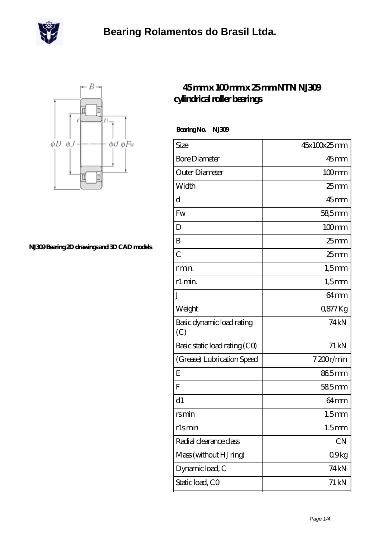



**[NJ309 Bearing 2D drawings and 3D CAD models](https://m.scottrobertalexander.com/pic-539577.html)**

## **[45 mm x 100 mm x 25 mm NTN NJ309](https://m.scottrobertalexander.com/ntn-nj309-bearing/) [cylindrical roller bearings](https://m.scottrobertalexander.com/ntn-nj309-bearing/)**

 **Bearing No. NJ309**

| Size                             | 45x100x25mm        |
|----------------------------------|--------------------|
| <b>Bore Diameter</b>             | $45$ mm            |
| Outer Diameter                   | $100$ mm           |
| Width                            | 25 <sub>mm</sub>   |
| $\mathbf d$                      | $45$ mm            |
| Fw                               | 58,5mm             |
| D                                | $100$ mm           |
| B                                | 25 <sub>mm</sub>   |
| $\overline{C}$                   | 25 <sub>mm</sub>   |
| r min.                           | $1,5$ mm           |
| r1 min.                          | $1,5$ mm           |
| J                                | 64 <sub>mm</sub>   |
| Weight                           | 0877Kg             |
| Basic dynamic load rating<br>(C) | 74 <sub>kN</sub>   |
| Basic static load rating (CO)    | $71 \,\mathrm{kN}$ |
| (Grease) Lubrication Speed       | 7200r/min          |
| E                                | 865mm              |
| F                                | 585mm              |
| d1                               | 64 <sub>mm</sub>   |
| rsmin                            | 1.5 <sub>mm</sub>  |
| rlsmin                           | 1.5 <sub>mm</sub>  |
| Radial clearance class           | CN                 |
| Mass (without HJ ring)           | 09kg               |
| Dynamic load, C                  | 74 kN              |
| Static load, CO                  | 71 kN              |
|                                  |                    |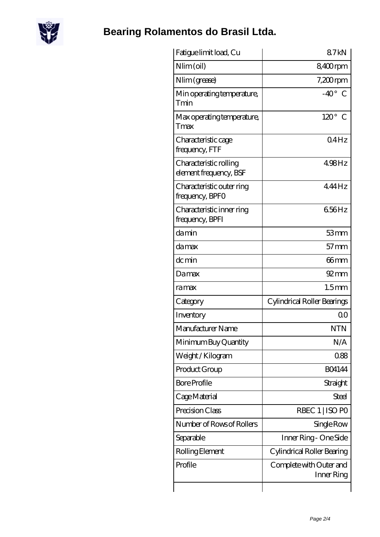

## **[Bearing Rolamentos do Brasil Ltda.](https://m.scottrobertalexander.com)**

| Fatigue limit load, Cu                           | 87 <sub>kN</sub>                      |
|--------------------------------------------------|---------------------------------------|
| Nlim (oil)                                       | 8,400rpm                              |
| Nlim (grease)                                    | $7,200$ rpm                           |
| Min operating temperature,<br>Tmin               | $-40^\circ$ C                         |
| Max operating temperature,<br>Tmax               | $120^\circ$<br>C                      |
| Characteristic cage<br>frequency, FTF            | 04Hz                                  |
| Characteristic rolling<br>element frequency, BSF | $498$ Hz                              |
| Characteristic outer ring<br>frequency, BPFO     | $4.44$ Hz                             |
| Characteristic inner ring<br>frequency, BPFI     | 656Hz                                 |
| damin                                            | 53mm                                  |
| damax                                            | $57$ mm                               |
| dc min                                           | 66mm                                  |
| Damax                                            | 92 mm                                 |
| ramax                                            | 1.5 <sub>mm</sub>                     |
| Category                                         | Cylindrical Roller Bearings           |
| Inventory                                        | 0 <sup>0</sup>                        |
| Manufacturer Name                                | <b>NTN</b>                            |
| Minimum Buy Quantity                             | N/A                                   |
| Weight / Kilogram                                | 088                                   |
| Product Group                                    | <b>BO4144</b>                         |
| <b>Bore Profile</b>                              | Straight                              |
| Cage Material                                    | Steel                                 |
| Precision Class                                  | RBEC 1   ISO PO                       |
| Number of Rows of Rollers                        | Single Row                            |
| Separable                                        | Inner Ring - One Side                 |
| Rolling Element                                  | Cylindrical Roller Bearing            |
| Profile                                          | Complete with Outer and<br>Inner Ring |
|                                                  |                                       |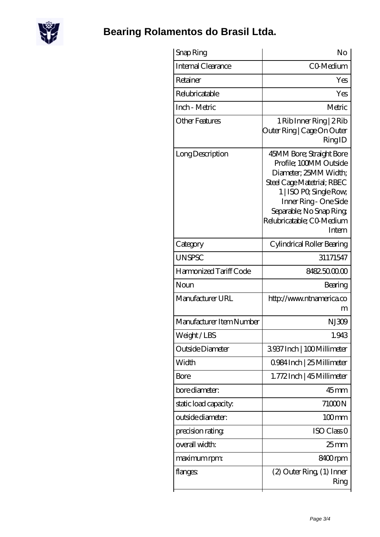

## **[Bearing Rolamentos do Brasil Ltda.](https://m.scottrobertalexander.com)**

| Snap Ring                 | No                                                                                                                                                                                                                              |
|---------------------------|---------------------------------------------------------------------------------------------------------------------------------------------------------------------------------------------------------------------------------|
| <b>Internal Clearance</b> | CO-Medium                                                                                                                                                                                                                       |
| Retainer                  | Yes                                                                                                                                                                                                                             |
| Relubricatable            | Yes                                                                                                                                                                                                                             |
| Inch - Metric             | Metric                                                                                                                                                                                                                          |
| Other Features            | 1 Rib Inner Ring   2 Rib<br>Outer Ring   Cage On Outer<br>RingID                                                                                                                                                                |
| Long Description          | 45MM Bore; Straight Bore<br>Profile; 100MM Outside<br>Diameter; 25MM Width;<br>Steel Cage Matetrial; RBEC<br>1   ISO PO, Single Row,<br>Inner Ring - One Side<br>Separable; No Snap Ring<br>Relubricatable; CO Medium<br>Intern |
| Category                  | Cylindrical Roller Bearing                                                                                                                                                                                                      |
| <b>UNSPSC</b>             | 31171547                                                                                                                                                                                                                        |
| Harmonized Tariff Code    | 8482500000                                                                                                                                                                                                                      |
| Noun                      | Bearing                                                                                                                                                                                                                         |
| Manufacturer URL          | http://www.ntnamerica.co<br>m                                                                                                                                                                                                   |
| Manufacturer Item Number  | NJ309                                                                                                                                                                                                                           |
| Weight/LBS                | 1.943                                                                                                                                                                                                                           |
| Outside Diameter          | 3937Inch   100Millimeter                                                                                                                                                                                                        |
| Width                     | 0.984 Inch   25 Millimeter                                                                                                                                                                                                      |
| Bore                      | 1.772Inch   45 Millimeter                                                                                                                                                                                                       |
| bore diameter:            | $45$ mm                                                                                                                                                                                                                         |
| static load capacity.     | 71000N                                                                                                                                                                                                                          |
| outside diameter:         | $100$ mm                                                                                                                                                                                                                        |
| precision rating          | ISO Class <sub>O</sub>                                                                                                                                                                                                          |
| overall width:            | $25 \text{mm}$                                                                                                                                                                                                                  |
| maximum rpm:              | 8400rpm                                                                                                                                                                                                                         |
| flanges:                  | (2) Outer Ring (1) Inner<br>Ring                                                                                                                                                                                                |